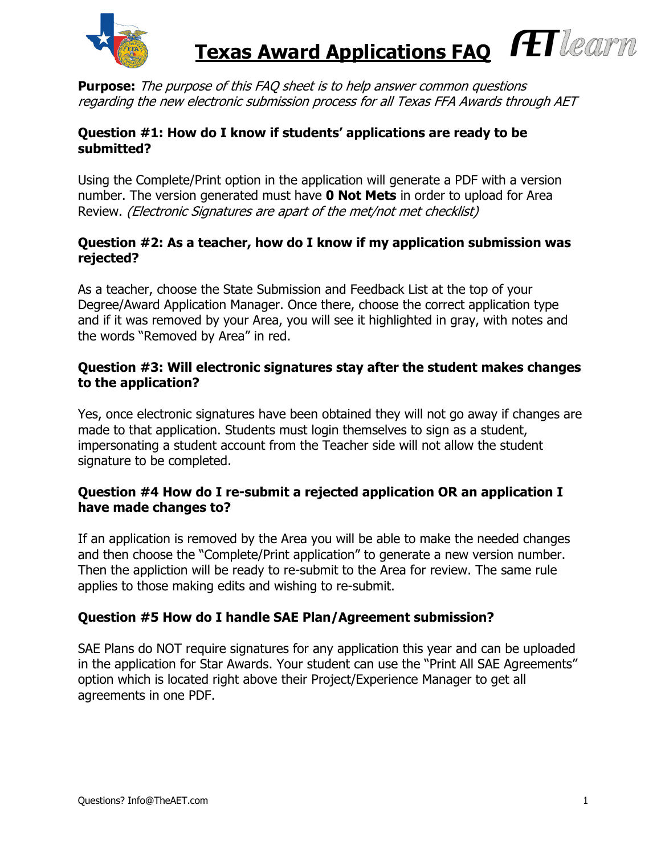

HIlearn  **Texas Award Applications FAQ**

**Purpose:** The purpose of this FAQ sheet is to help answer common questions regarding the new electronic submission process for all Texas FFA Awards through AET

## **Question #1: How do I know if students' applications are ready to be submitted?**

Using the Complete/Print option in the application will generate a PDF with a version number. The version generated must have **0 Not Mets** in order to upload for Area Review. (Electronic Signatures are apart of the met/not met checklist)

## **Question #2: As a teacher, how do I know if my application submission was rejected?**

As a teacher, choose the State Submission and Feedback List at the top of your Degree/Award Application Manager. Once there, choose the correct application type and if it was removed by your Area, you will see it highlighted in gray, with notes and the words "Removed by Area" in red.

## **Question #3: Will electronic signatures stay after the student makes changes to the application?**

Yes, once electronic signatures have been obtained they will not go away if changes are made to that application. Students must login themselves to sign as a student, impersonating a student account from the Teacher side will not allow the student signature to be completed.

# **Question #4 How do I re-submit a rejected application OR an application I have made changes to?**

If an application is removed by the Area you will be able to make the needed changes and then choose the "Complete/Print application" to generate a new version number. Then the appliction will be ready to re-submit to the Area for review. The same rule applies to those making edits and wishing to re-submit.

# **Question #5 How do I handle SAE Plan/Agreement submission?**

SAE Plans do NOT require signatures for any application this year and can be uploaded in the application for Star Awards. Your student can use the "Print All SAE Agreements" option which is located right above their Project/Experience Manager to get all agreements in one PDF.